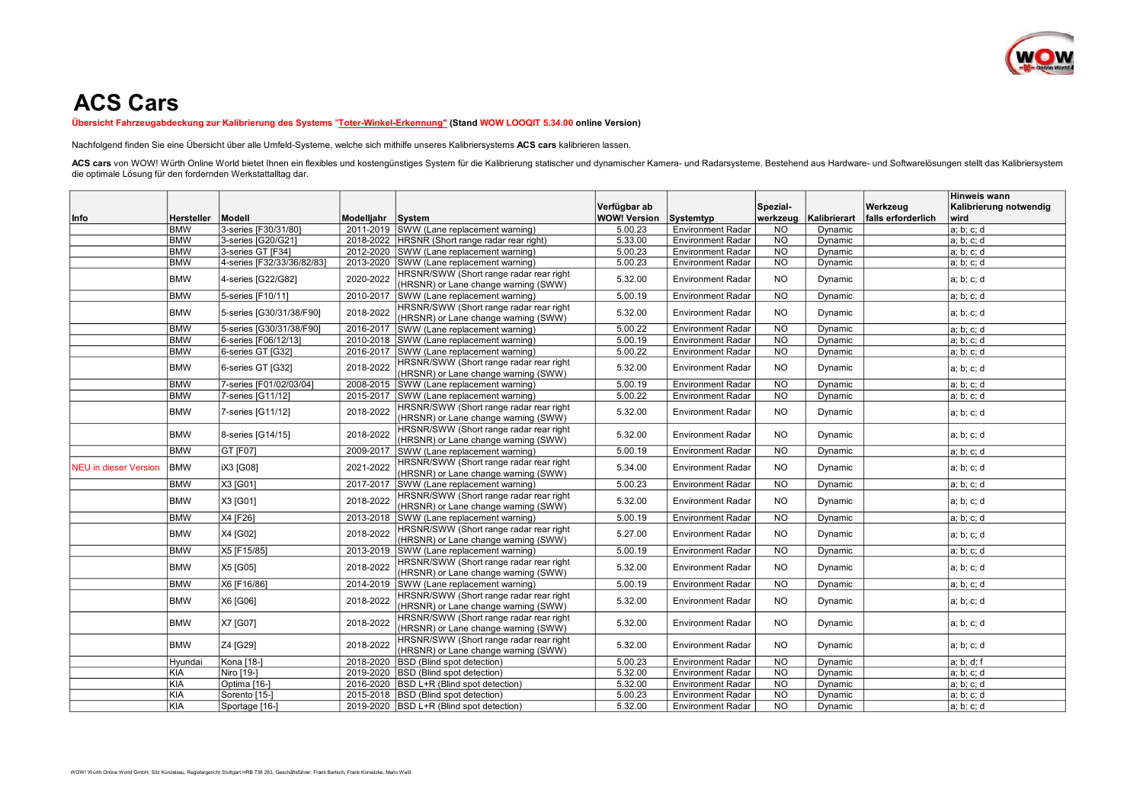

## ACS Cars

Übersicht Fahrzeugabdeckung zur Kalibrierung des Systems "Toter-Winkel-Erkennung" (Stand WOW LOOQIT 5.34.00 online Version)

Nachfolgend finden Sie eine Übersicht über alle Umfeld-Systeme, welche sich mithilfe unseres Kalibriersystems ACS cars kalibrieren lassen.

ACS cars von WOW! Würth Online World bietet Ihnen ein flexibles und kostengünstiges System für die Kalibrierung statischer und dynamischer Kamera- und Radarsysteme. Bestehend aus Hardware- und Softwarelösungen stellt das K die optimale Lösung für den fordernden Werkstattalltag dar.

|                              |            |                            |            |                                                                                 |                     |                          |                 |              | Hinweis wann       |                        |
|------------------------------|------------|----------------------------|------------|---------------------------------------------------------------------------------|---------------------|--------------------------|-----------------|--------------|--------------------|------------------------|
|                              |            |                            |            |                                                                                 | Verfügbar ab        |                          | Spezial-        |              | Werkzeua           | Kalibrierung notwendig |
| Info                         | Hersteller | Modell                     | Modelljahr | System                                                                          | <b>WOW! Version</b> | Systemtyp                | werkzeug        | Kalibrierart | falls erforderlich | wird                   |
|                              | <b>BMW</b> | 3-series [F30/31/80]       |            | 2011-2019 SWW (Lane replacement warning)                                        | 5.00.23             | <b>Environment Radar</b> | NO.             | Dynamic      |                    | a; b; c; d             |
|                              | <b>BMW</b> | 3-series IG20/G211         |            | 2018-2022 HRSNR (Short range radar rear right)                                  | 5.33.00             | <b>Environment Radar</b> | <b>NO</b>       | Dvnamic      |                    | a: b: c: d             |
|                              | <b>BMW</b> | 3-series GT [F34]          |            | 2012-2020 SWW (Lane replacement warning)                                        | 5.00.23             | <b>Environment Radar</b> | $\overline{NO}$ | Dynamic      |                    | a; b; c; d             |
|                              | <b>BMW</b> | 4-series [F32/33/36/82/83] | 2013-2020  | SWW (Lane replacement warning)                                                  | 5.00.23             | <b>Environment Radar</b> | N <sub>O</sub>  | Dynamic      |                    | a; b; c; d             |
|                              | <b>BMW</b> | 4-series [G22/G82]         | 2020-2022  | HRSNR/SWW (Short range radar rear right<br>(HRSNR) or Lane change warning (SWW) | 5.32.00             | <b>Environment Radar</b> | NO.             | Dynamic      |                    | a; b; c; d             |
|                              | <b>BMW</b> | 5-series [F10/11]          | 2010-2017  | SWW (Lane replacement warning)                                                  | 5.00.19             | <b>Environment Radar</b> | <b>NO</b>       | Dynamic      |                    | a; b; c; d             |
|                              | <b>BMW</b> | 5-series [G30/31/38/F90]   | 2018-2022  | HRSNR/SWW (Short range radar rear right<br>(HRSNR) or Lane change warning (SWW) | 5.32.00             | <b>Environment Radar</b> | <b>NO</b>       | Dynamic      |                    | a; b; c; d             |
|                              | <b>BMW</b> | 5-series [G30/31/38/F90]   | 2016-2017  | SWW (Lane replacement warning)                                                  | 5.00.22             | <b>Environment Radar</b> | <b>NO</b>       | Dvnamic      |                    | a; b; c; d             |
|                              | <b>BMW</b> | 6-series [F06/12/13]       | 2010-2018  | SWW (Lane replacement warning)                                                  | 5.00.19             | Environment Radar        | $\overline{NO}$ | Dynamic      |                    | a; b; c; d             |
|                              | <b>BMW</b> | 6-series GT [G32]          | 2016-2017  | SWW (Lane replacement warning)                                                  | 5.00.22             | <b>Environment Radar</b> | NO.             | Dynamic      |                    | a; b; c; d             |
|                              | <b>BMW</b> | 6-series GT [G32]          | 2018-2022  | HRSNR/SWW (Short range radar rear right<br>(HRSNR) or Lane change warning (SWW) | 5.32.00             | <b>Environment Radar</b> | <b>NO</b>       | Dynamic      |                    | a; b; c; d             |
|                              | <b>BMW</b> | 7-series [F01/02/03/04]    | 2008-2015  | SWW (Lane replacement warning)                                                  | 5.00.19             | <b>Environment Radar</b> | <b>NO</b>       | Dynamic      |                    | a; b; c; d             |
|                              | <b>BMW</b> | 7-series [G11/12]          | 2015-2017  | SWW (Lane replacement warning)                                                  | 5.00.22             | <b>Environment Radar</b> | <b>NO</b>       | Dynamic      |                    | a; b; c; d             |
|                              | <b>BMW</b> | 7-series [G11/12]          | 2018-2022  | HRSNR/SWW (Short range radar rear right<br>(HRSNR) or Lane change warning (SWW) | 5.32.00             | <b>Environment Radar</b> | NO.             | Dynamic      |                    | a; b; c; d             |
|                              | <b>BMW</b> | 8-series [G14/15]          | 2018-2022  | HRSNR/SWW (Short range radar rear right<br>(HRSNR) or Lane change warning (SWW) | 5.32.00             | <b>Environment Radar</b> | NO.             | Dynamic      |                    | a; b; c; d             |
|                              | <b>BMW</b> | GT [F07]                   | 2009-2017  | SWW (Lane replacement warning)                                                  | 5.00.19             | <b>Environment Radar</b> | NO.             | Dynamic      |                    | a; b; c; d             |
| <b>NEU</b> in dieser Version | <b>BMW</b> | IX3 [G08]                  | 2021-2022  | HRSNR/SWW (Short range radar rear right<br>(HRSNR) or Lane change warning (SWW) | 5.34.00             | <b>Environment Radar</b> | NO              | Dynamic      |                    | a; b; c; d             |
|                              | <b>BMW</b> | X3 [G01]                   | 2017-2017  | SWW (Lane replacement warning)                                                  | 5.00.23             | <b>Environment Radar</b> | <b>NO</b>       | Dynamic      |                    | a; b; c; d             |
|                              | <b>BMW</b> | X3 [G01]                   | 2018-2022  | HRSNR/SWW (Short range radar rear right<br>(HRSNR) or Lane change warning (SWW) | 5.32.00             | <b>Environment Radar</b> | NO.             | Dvnamic      |                    | a; b; c; d             |
|                              | <b>BMW</b> | X4 [F26]                   | 2013-2018  | SWW (Lane replacement warning)                                                  | 5.00.19             | <b>Environment Radar</b> | <b>NO</b>       | Dynamic      |                    | a; b; c; d             |
|                              | <b>BMW</b> | X4 [G02]                   | 2018-2022  | HRSNR/SWW (Short range radar rear right<br>(HRSNR) or Lane change warning (SWW) | 5.27.00             | <b>Environment Radar</b> | <b>NO</b>       | Dynamic      |                    | a; b; c; d             |
|                              | <b>BMW</b> | X5 [F15/85]                | 2013-2019  | SWW (Lane replacement warning)                                                  | 5.00.19             | <b>Environment Radar</b> | NO.             | Dynamic      |                    | a; b; c; d             |
|                              | <b>BMW</b> | X5 [G05]                   | 2018-2022  | HRSNR/SWW (Short range radar rear right<br>(HRSNR) or Lane change warning (SWW) | 5.32.00             | <b>Environment Radar</b> | <b>NO</b>       | Dynamic      |                    | a; b; c; d             |
|                              | <b>BMW</b> | X6 [F16/86]                | 2014-2019  | SWW (Lane replacement warning)                                                  | 5.00.19             | <b>Environment Radar</b> | N <sub>O</sub>  | Dynamic      |                    | a; b; c; d             |
|                              | <b>BMW</b> | X6 [G06]                   | 2018-2022  | HRSNR/SWW (Short range radar rear right<br>(HRSNR) or Lane change warning (SWW) | 5.32.00             | <b>Environment Radar</b> | NO.             | Dynamic      |                    | a; b; c; d             |
|                              | <b>BMW</b> | X7 [G07]                   | 2018-2022  | HRSNR/SWW (Short range radar rear right<br>(HRSNR) or Lane change warning (SWW) | 5.32.00             | <b>Environment Radar</b> | <b>NO</b>       | Dynamic      |                    | a; b; c; d             |
|                              | <b>BMW</b> | Z4 [G29]                   | 2018-2022  | HRSNR/SWW (Short range radar rear right<br>(HRSNR) or Lane change warning (SWW) | 5.32.00             | <b>Environment Radar</b> | <b>NO</b>       | Dynamic      |                    | a; b; c; d             |
|                              | Hyundai    | Kona [18-]                 | 2018-2020  | <b>BSD</b> (Blind spot detection)                                               | 5.00.23             | <b>Environment Radar</b> | <b>NO</b>       | Dynamic      |                    | a; b; d; f             |
|                              | <b>KIA</b> | Niro [19-]                 | 2019-2020  | <b>BSD</b> (Blind spot detection)                                               | 5.32.00             | <b>Environment Radar</b> | <b>NO</b>       | Dynamic      |                    | a; b; c; d             |
|                              | KIA        | Optima [16-]               | 2016-2020  | BSD L+R (Blind spot detection)                                                  | 5.32.00             | <b>Environment Radar</b> | <b>NO</b>       | Dynamic      |                    | a; b; c; d             |
|                              | KIA        | Sorento [15-]              |            | 2015-2018 BSD (Blind spot detection)                                            | 5.00.23             | <b>Environment Radar</b> | $\overline{NO}$ | Dynamic      |                    | a: b: c: d             |
|                              | <b>KIA</b> | Sportage [16-]             |            | 2019-2020 BSD L+R (Blind spot detection)                                        | 5.32.00             | <b>Environment Radar</b> | NO.             | Dynamic      |                    | a; b; c; d             |